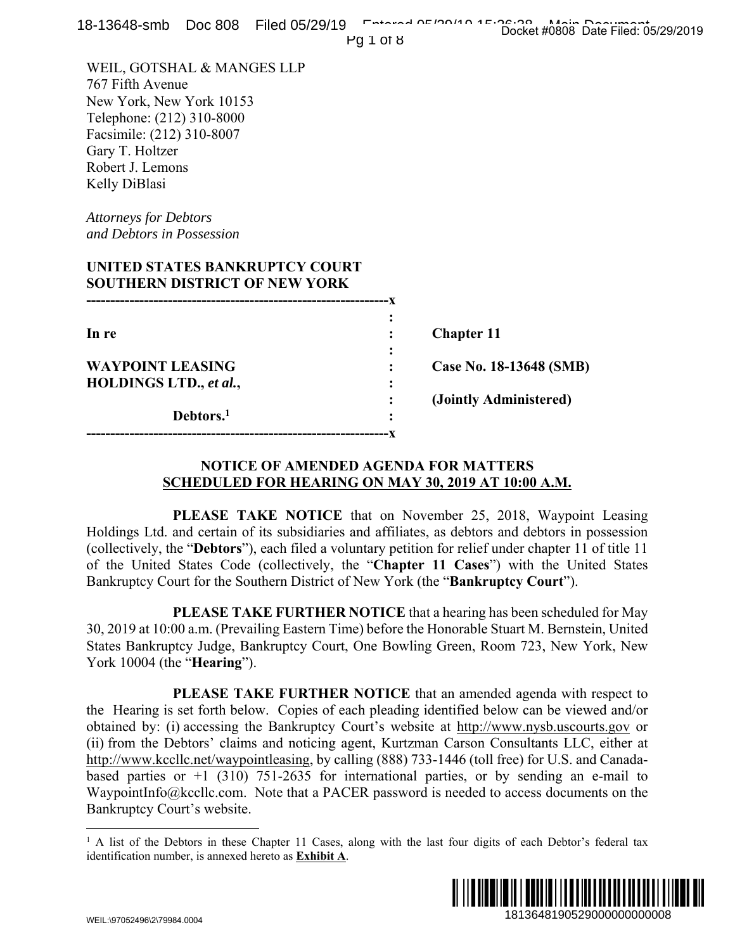| 18-13648-smb    Doc 808    Filed 05/29/19<br>Pg 1 of 8                                                                                                                                                                                                                                                                                                                                                                                                                                                                                                                                                                      | Entered OF 190110 1F.06.00 Main Decument                             |
|-----------------------------------------------------------------------------------------------------------------------------------------------------------------------------------------------------------------------------------------------------------------------------------------------------------------------------------------------------------------------------------------------------------------------------------------------------------------------------------------------------------------------------------------------------------------------------------------------------------------------------|----------------------------------------------------------------------|
| WEIL, GOTSHAL & MANGES LLP<br>767 Fifth Avenue<br>New York, New York 10153<br>Telephone: (212) 310-8000<br>Facsimile: (212) 310-8007<br>Gary T. Holtzer<br>Robert J. Lemons<br>Kelly DiBlasi                                                                                                                                                                                                                                                                                                                                                                                                                                |                                                                      |
| <b>Attorneys for Debtors</b><br>and Debtors in Possession                                                                                                                                                                                                                                                                                                                                                                                                                                                                                                                                                                   |                                                                      |
| UNITED STATES BANKRUPTCY COURT<br><b>SOUTHERN DISTRICT OF NEW YORK</b>                                                                                                                                                                                                                                                                                                                                                                                                                                                                                                                                                      |                                                                      |
| In re                                                                                                                                                                                                                                                                                                                                                                                                                                                                                                                                                                                                                       | <b>Chapter 11</b>                                                    |
| <b>WAYPOINT LEASING</b><br>HOLDINGS LTD., et al.,                                                                                                                                                                                                                                                                                                                                                                                                                                                                                                                                                                           | Case No. 18-13648 (SMB)                                              |
| Debtors. <sup>1</sup>                                                                                                                                                                                                                                                                                                                                                                                                                                                                                                                                                                                                       | (Jointly Administered)                                               |
| <b>NOTICE OF AMENDED AGENDA FOR MATTERS</b><br><b>SCHEDULED FOR HEARING ON MAY 30, 2019 AT 10:00 A.M.</b>                                                                                                                                                                                                                                                                                                                                                                                                                                                                                                                   |                                                                      |
| Holdings Ltd. and certain of its subsidiaries and affiliates, as debtors and debtors in possession<br>(collectively, the "Debtors"), each filed a voluntary petition for relief under chapter 11 of title 11<br>of the United States Code (collectively, the "Chapter 11 Cases") with the United States<br>Bankruptcy Court for the Southern District of New York (the "Bankruptcy Court").                                                                                                                                                                                                                                 | PLEASE TAKE NOTICE that on November 25, 2018, Waypoint Leasing       |
| 30, 2019 at 10:00 a.m. (Prevailing Eastern Time) before the Honorable Stuart M. Bernstein, United<br>States Bankruptcy Judge, Bankruptcy Court, One Bowling Green, Room 723, New York, New<br>York 10004 (the " <b>Hearing</b> ").                                                                                                                                                                                                                                                                                                                                                                                          | PLEASE TAKE FURTHER NOTICE that a hearing has been scheduled for May |
| the Hearing is set forth below. Copies of each pleading identified below can be viewed and/or<br>obtained by: (i) accessing the Bankruptcy Court's website at http://www.nysb.uscourts.gov or<br>(ii) from the Debtors' claims and noticing agent, Kurtzman Carson Consultants LLC, either at<br>http://www.kccllc.net/waypointleasing, by calling (888) 733-1446 (toll free) for U.S. and Canada-<br>based parties or $+1$ (310) 751-2635 for international parties, or by sending an e-mail to<br>WaypointInfo@kccllc.com. Note that a PACER password is needed to access documents on the<br>Bankruptcy Court's website. | PLEASE TAKE FURTHER NOTICE that an amended agenda with respect to    |
| <sup>1</sup> A list of the Debtors in these Chapter 11 Cases, along with the last four digits of each Debtor's federal tax<br>identification number, is annexed hereto as <b>Exhibit A</b> .                                                                                                                                                                                                                                                                                                                                                                                                                                |                                                                      |
| WEIL:\Q70524Q6\2\7QQ84.0004                                                                                                                                                                                                                                                                                                                                                                                                                                                                                                                                                                                                 | 1813648190529000000000008                                            |

## **NOTICE OF AMENDED AGENDA FOR MATTERS SCHEDULED FOR HEARING ON MAY 30, 2019 AT 10:00 A.M.**

<sup>&</sup>lt;sup>1</sup> A list of the Debtors in these Chapter 11 Cases, along with the last four digits of each Debtor's federal tax identification number, is annexed hereto as **Exhibit A**.

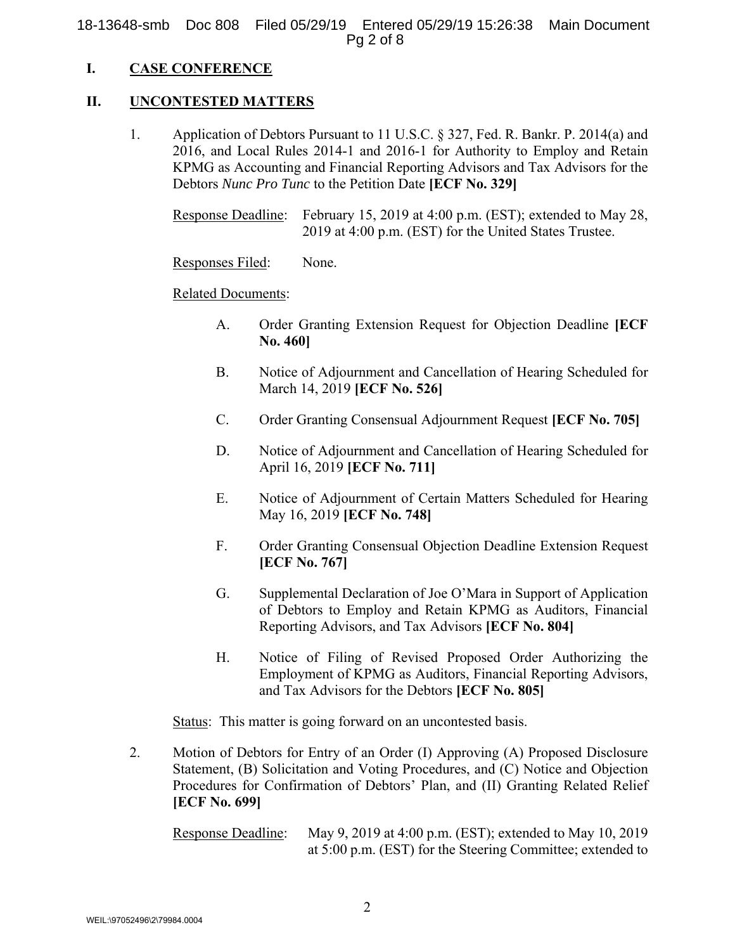18-13648-smb Doc 808 Filed 05/29/19 Entered 05/29/19 15:26:38 Main Document Pg 2 of 8

## **I. CASE CONFERENCE**

### **II. UNCONTESTED MATTERS**

1. Application of Debtors Pursuant to 11 U.S.C. § 327, Fed. R. Bankr. P. 2014(a) and 2016, and Local Rules 2014-1 and 2016-1 for Authority to Employ and Retain KPMG as Accounting and Financial Reporting Advisors and Tax Advisors for the Debtors *Nunc Pro Tunc* to the Petition Date **[ECF No. 329]**

Response Deadline: February 15, 2019 at 4:00 p.m. (EST); extended to May 28, 2019 at 4:00 p.m. (EST) for the United States Trustee.

Responses Filed: None.

#### Related Documents:

- A. Order Granting Extension Request for Objection Deadline **[ECF No. 460]**
- B. Notice of Adjournment and Cancellation of Hearing Scheduled for March 14, 2019 **[ECF No. 526]**
- C. Order Granting Consensual Adjournment Request **[ECF No. 705]**
- D. Notice of Adjournment and Cancellation of Hearing Scheduled for April 16, 2019 **[ECF No. 711]**
- E. Notice of Adjournment of Certain Matters Scheduled for Hearing May 16, 2019 **[ECF No. 748]**
- F. Order Granting Consensual Objection Deadline Extension Request **[ECF No. 767]**
- G. Supplemental Declaration of Joe O'Mara in Support of Application of Debtors to Employ and Retain KPMG as Auditors, Financial Reporting Advisors, and Tax Advisors **[ECF No. 804]**
- H. Notice of Filing of Revised Proposed Order Authorizing the Employment of KPMG as Auditors, Financial Reporting Advisors, and Tax Advisors for the Debtors **[ECF No. 805]**

Status: This matter is going forward on an uncontested basis.

2. Motion of Debtors for Entry of an Order (I) Approving (A) Proposed Disclosure Statement, (B) Solicitation and Voting Procedures, and (C) Notice and Objection Procedures for Confirmation of Debtors' Plan, and (II) Granting Related Relief **[ECF No. 699]**

Response Deadline: May 9, 2019 at 4:00 p.m. (EST); extended to May 10, 2019 at 5:00 p.m. (EST) for the Steering Committee; extended to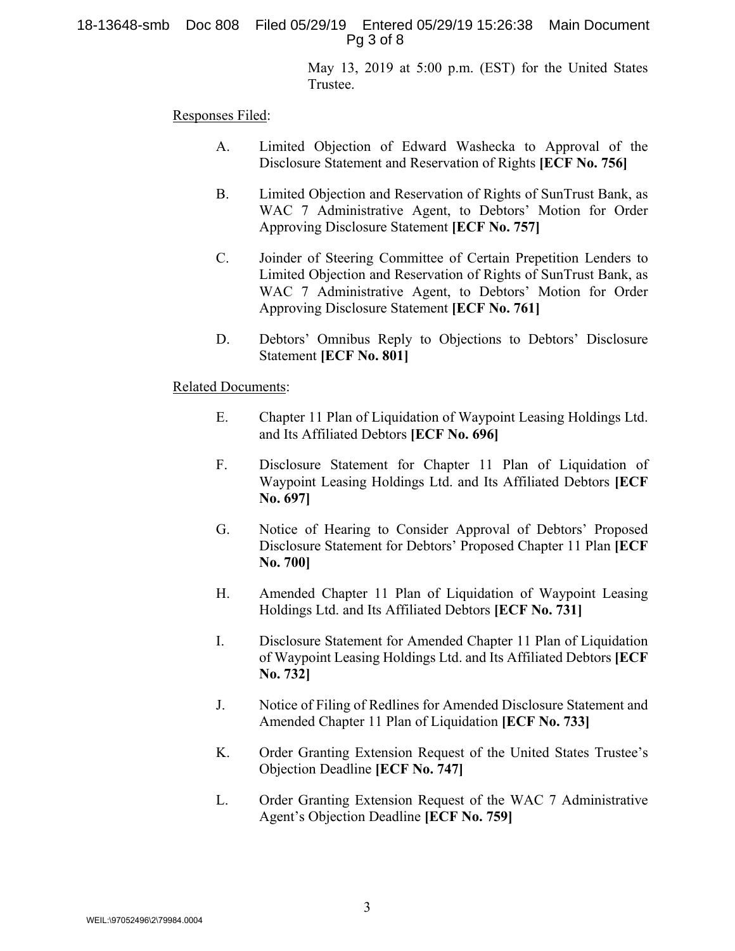18-13648-smb Doc 808 Filed 05/29/19 Entered 05/29/19 15:26:38 Main Document Pg 3 of 8

> May 13, 2019 at 5:00 p.m. (EST) for the United States Trustee.

Responses Filed:

- A. Limited Objection of Edward Washecka to Approval of the Disclosure Statement and Reservation of Rights **[ECF No. 756]**
- B. Limited Objection and Reservation of Rights of SunTrust Bank, as WAC 7 Administrative Agent, to Debtors' Motion for Order Approving Disclosure Statement **[ECF No. 757]**
- C. Joinder of Steering Committee of Certain Prepetition Lenders to Limited Objection and Reservation of Rights of SunTrust Bank, as WAC 7 Administrative Agent, to Debtors' Motion for Order Approving Disclosure Statement **[ECF No. 761]**
- D. Debtors' Omnibus Reply to Objections to Debtors' Disclosure Statement **[ECF No. 801]**

#### Related Documents:

- E. Chapter 11 Plan of Liquidation of Waypoint Leasing Holdings Ltd. and Its Affiliated Debtors **[ECF No. 696]**
- F. Disclosure Statement for Chapter 11 Plan of Liquidation of Waypoint Leasing Holdings Ltd. and Its Affiliated Debtors **[ECF No. 697]**
- G. Notice of Hearing to Consider Approval of Debtors' Proposed Disclosure Statement for Debtors' Proposed Chapter 11 Plan **[ECF No. 700]**
- H. Amended Chapter 11 Plan of Liquidation of Waypoint Leasing Holdings Ltd. and Its Affiliated Debtors **[ECF No. 731]**
- I. Disclosure Statement for Amended Chapter 11 Plan of Liquidation of Waypoint Leasing Holdings Ltd. and Its Affiliated Debtors **[ECF No. 732]**
- J. Notice of Filing of Redlines for Amended Disclosure Statement and Amended Chapter 11 Plan of Liquidation **[ECF No. 733]**
- K. Order Granting Extension Request of the United States Trustee's Objection Deadline **[ECF No. 747]**
- L. Order Granting Extension Request of the WAC 7 Administrative Agent's Objection Deadline **[ECF No. 759]**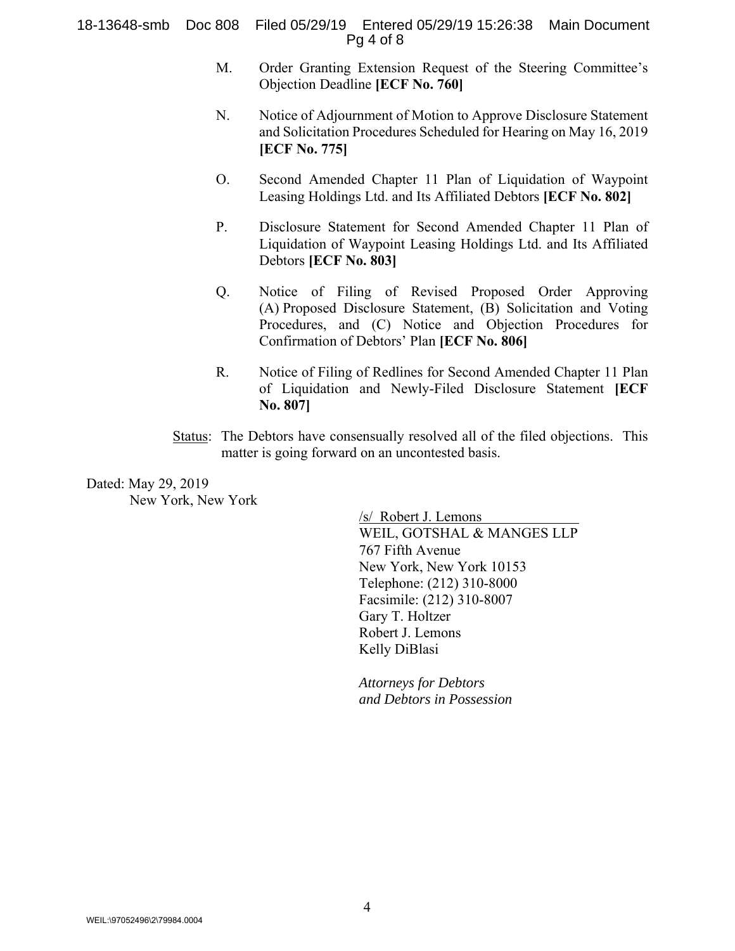#### 18-13648-smb Doc 808 Filed 05/29/19 Entered 05/29/19 15:26:38 Main Document Pg 4 of 8

- M. Order Granting Extension Request of the Steering Committee's Objection Deadline **[ECF No. 760]**
- N. Notice of Adjournment of Motion to Approve Disclosure Statement and Solicitation Procedures Scheduled for Hearing on May 16, 2019 **[ECF No. 775]**
- O. Second Amended Chapter 11 Plan of Liquidation of Waypoint Leasing Holdings Ltd. and Its Affiliated Debtors **[ECF No. 802]**
- P. Disclosure Statement for Second Amended Chapter 11 Plan of Liquidation of Waypoint Leasing Holdings Ltd. and Its Affiliated Debtors **[ECF No. 803]**
- Q. Notice of Filing of Revised Proposed Order Approving (A) Proposed Disclosure Statement, (B) Solicitation and Voting Procedures, and (C) Notice and Objection Procedures for Confirmation of Debtors' Plan **[ECF No. 806]**
- R. Notice of Filing of Redlines for Second Amended Chapter 11 Plan of Liquidation and Newly-Filed Disclosure Statement **[ECF No. 807]**
- Status: The Debtors have consensually resolved all of the filed objections. This matter is going forward on an uncontested basis.

Dated: May 29, 2019 New York, New York

/s/ Robert J. Lemons WEIL, GOTSHAL & MANGES LLP 767 Fifth Avenue New York, New York 10153 Telephone: (212) 310-8000 Facsimile: (212) 310-8007 Gary T. Holtzer Robert J. Lemons Kelly DiBlasi

*Attorneys for Debtors and Debtors in Possession*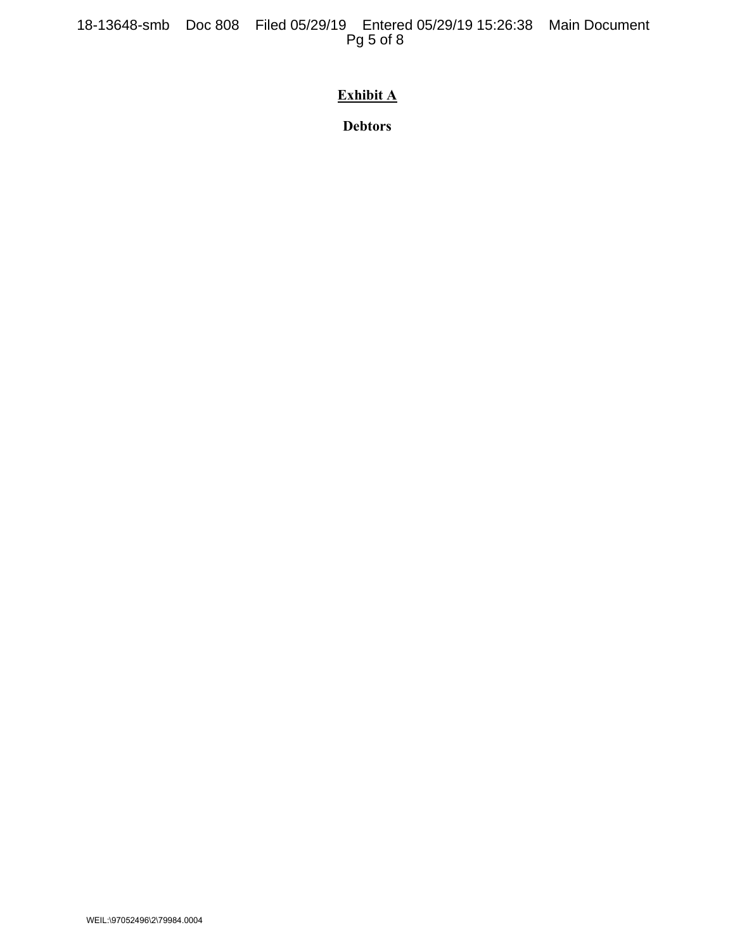18-13648-smb Doc 808 Filed 05/29/19 Entered 05/29/19 15:26:38 Main Document Pg 5 of 8

# **Exhibit A**

**Debtors**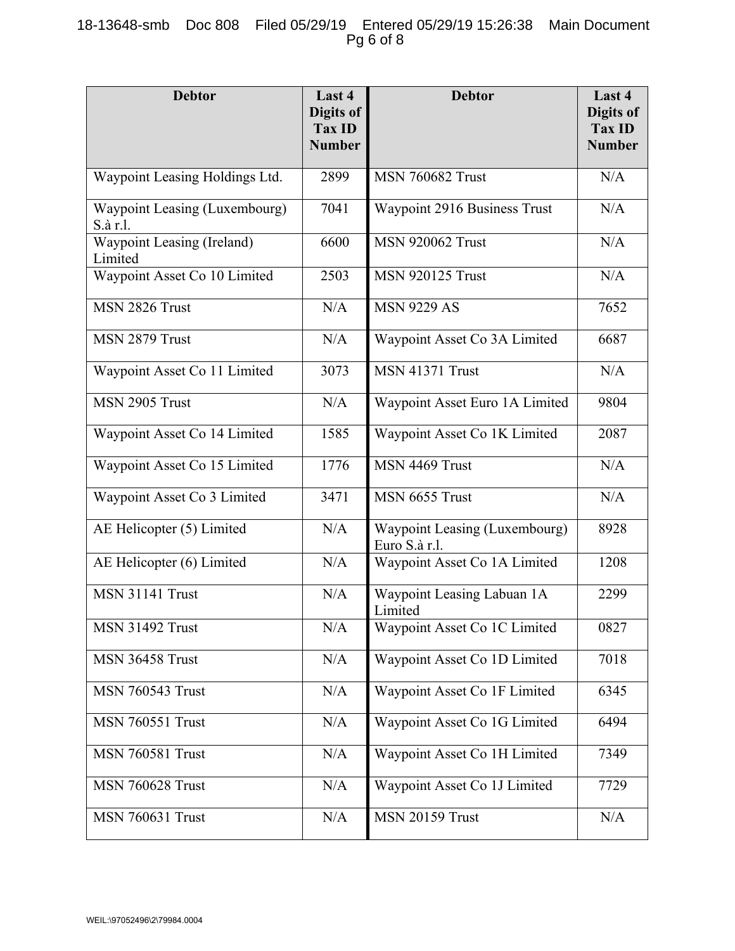## 18-13648-smb Doc 808 Filed 05/29/19 Entered 05/29/19 15:26:38 Main Document Pg 6 of 8

| <b>Debtor</b>                             | Last 4<br>Digits of<br><b>Tax ID</b><br><b>Number</b> | <b>Debtor</b>                                  | Last 4<br>Digits of<br><b>Tax ID</b><br><b>Number</b> |
|-------------------------------------------|-------------------------------------------------------|------------------------------------------------|-------------------------------------------------------|
| Waypoint Leasing Holdings Ltd.            | 2899                                                  | <b>MSN 760682 Trust</b>                        | N/A                                                   |
| Waypoint Leasing (Luxembourg)<br>S.à r.l. | 7041                                                  | Waypoint 2916 Business Trust                   | N/A                                                   |
| Waypoint Leasing (Ireland)<br>Limited     | 6600                                                  | <b>MSN 920062 Trust</b>                        | N/A                                                   |
| Waypoint Asset Co 10 Limited              | 2503                                                  | <b>MSN 920125 Trust</b>                        | N/A                                                   |
| MSN 2826 Trust                            | N/A                                                   | <b>MSN 9229 AS</b>                             | 7652                                                  |
| MSN 2879 Trust                            | N/A                                                   | Waypoint Asset Co 3A Limited                   | 6687                                                  |
| Waypoint Asset Co 11 Limited              | 3073                                                  | <b>MSN 41371 Trust</b>                         | N/A                                                   |
| MSN 2905 Trust                            | N/A                                                   | Waypoint Asset Euro 1A Limited                 | 9804                                                  |
| Waypoint Asset Co 14 Limited              | 1585                                                  | Waypoint Asset Co 1K Limited                   | 2087                                                  |
| Waypoint Asset Co 15 Limited              | 1776                                                  | MSN 4469 Trust                                 | N/A                                                   |
| Waypoint Asset Co 3 Limited               | 3471                                                  | MSN 6655 Trust                                 | N/A                                                   |
| AE Helicopter (5) Limited                 | N/A                                                   | Waypoint Leasing (Luxembourg)<br>Euro S.à r.l. | 8928                                                  |
| AE Helicopter (6) Limited                 | N/A                                                   | Waypoint Asset Co 1A Limited                   | 1208                                                  |
| <b>MSN 31141 Trust</b>                    | N/A                                                   | Waypoint Leasing Labuan 1A<br>Limited          | 2299                                                  |
| <b>MSN 31492 Trust</b>                    | N/A                                                   | Waypoint Asset Co 1C Limited                   | 0827                                                  |
| <b>MSN 36458 Trust</b>                    | N/A                                                   | Waypoint Asset Co 1D Limited                   | 7018                                                  |
| <b>MSN 760543 Trust</b>                   | N/A                                                   | Waypoint Asset Co 1F Limited                   | 6345                                                  |
| <b>MSN 760551 Trust</b>                   | N/A                                                   | Waypoint Asset Co 1G Limited                   | 6494                                                  |
| <b>MSN 760581 Trust</b>                   | N/A                                                   | Waypoint Asset Co 1H Limited                   | 7349                                                  |
| <b>MSN 760628 Trust</b>                   | N/A                                                   | Waypoint Asset Co 1J Limited                   | 7729                                                  |
| <b>MSN 760631 Trust</b>                   | N/A                                                   | <b>MSN 20159 Trust</b>                         | N/A                                                   |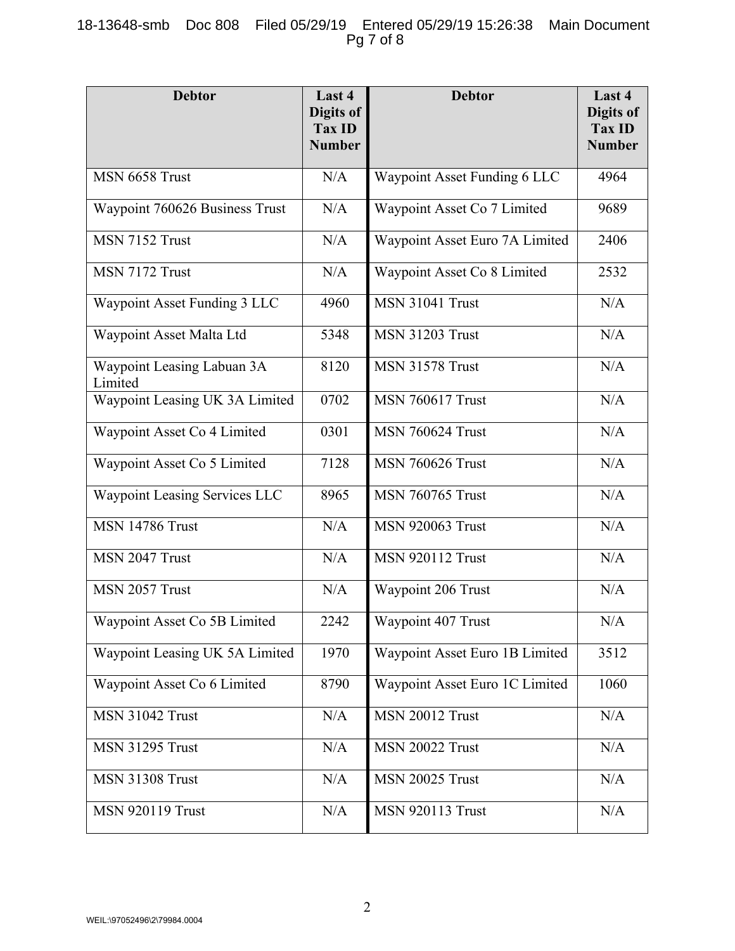## 18-13648-smb Doc 808 Filed 05/29/19 Entered 05/29/19 15:26:38 Main Document Pg 7 of 8

| <b>Debtor</b>                         | Last 4<br>Digits of<br>Tax ID<br><b>Number</b> | <b>Debtor</b>                  | Last 4<br>Digits of<br><b>Tax ID</b><br><b>Number</b> |
|---------------------------------------|------------------------------------------------|--------------------------------|-------------------------------------------------------|
| MSN 6658 Trust                        | N/A                                            | Waypoint Asset Funding 6 LLC   | 4964                                                  |
| Waypoint 760626 Business Trust        | N/A                                            | Waypoint Asset Co 7 Limited    | 9689                                                  |
| MSN 7152 Trust                        | N/A                                            | Waypoint Asset Euro 7A Limited | 2406                                                  |
| MSN 7172 Trust                        | N/A                                            | Waypoint Asset Co 8 Limited    | 2532                                                  |
| Waypoint Asset Funding 3 LLC          | 4960                                           | <b>MSN 31041 Trust</b>         | N/A                                                   |
| Waypoint Asset Malta Ltd              | 5348                                           | <b>MSN 31203 Trust</b>         | N/A                                                   |
| Waypoint Leasing Labuan 3A<br>Limited | 8120                                           | <b>MSN 31578 Trust</b>         | N/A                                                   |
| Waypoint Leasing UK 3A Limited        | 0702                                           | <b>MSN 760617 Trust</b>        | N/A                                                   |
| Waypoint Asset Co 4 Limited           | 0301                                           | <b>MSN 760624 Trust</b>        | N/A                                                   |
| Waypoint Asset Co 5 Limited           | 7128                                           | <b>MSN 760626 Trust</b>        | N/A                                                   |
| Waypoint Leasing Services LLC         | 8965                                           | <b>MSN 760765 Trust</b>        | N/A                                                   |
| <b>MSN 14786 Trust</b>                | N/A                                            | <b>MSN 920063 Trust</b>        | N/A                                                   |
| MSN 2047 Trust                        | N/A                                            | <b>MSN 920112 Trust</b>        | N/A                                                   |
| MSN 2057 Trust                        | N/A                                            | Waypoint 206 Trust             | N/A                                                   |
| Waypoint Asset Co 5B Limited          | 2242                                           | Waypoint 407 Trust             | $\rm N/A$                                             |
| Waypoint Leasing UK 5A Limited        | 1970                                           | Waypoint Asset Euro 1B Limited | 3512                                                  |
| Waypoint Asset Co 6 Limited           | 8790                                           | Waypoint Asset Euro 1C Limited | 1060                                                  |
| <b>MSN 31042 Trust</b>                | N/A                                            | <b>MSN 20012 Trust</b>         | $\rm N/A$                                             |
| <b>MSN 31295 Trust</b>                | N/A                                            | <b>MSN 20022 Trust</b>         | N/A                                                   |
| <b>MSN 31308 Trust</b>                | N/A                                            | <b>MSN 20025 Trust</b>         | N/A                                                   |
| <b>MSN 920119 Trust</b>               | N/A                                            | <b>MSN 920113 Trust</b>        | N/A                                                   |